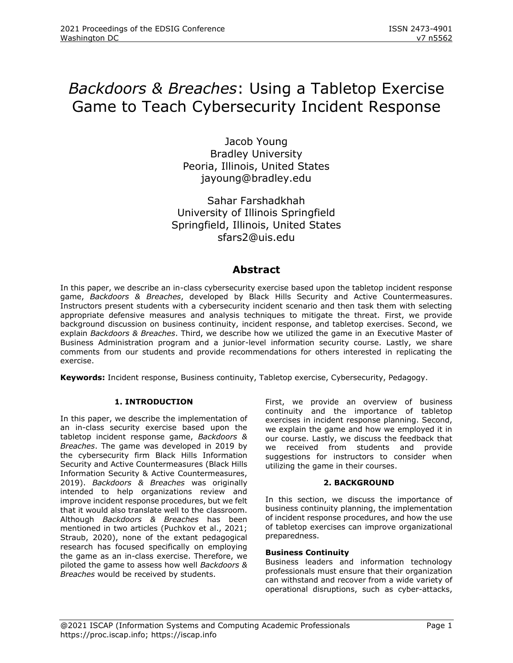# *Backdoors & Breaches*: Using a Tabletop Exercise Game to Teach Cybersecurity Incident Response

Jacob Young Bradley University Peoria, Illinois, United States jayoung@bradley.edu

Sahar Farshadkhah University of Illinois Springfield Springfield, Illinois, United States sfars2@uis.edu

### **Abstract**

In this paper, we describe an in-class cybersecurity exercise based upon the tabletop incident response game, *Backdoors & Breaches*, developed by Black Hills Security and Active Countermeasures. Instructors present students with a cybersecurity incident scenario and then task them with selecting appropriate defensive measures and analysis techniques to mitigate the threat. First, we provide background discussion on business continuity, incident response, and tabletop exercises. Second, we explain *Backdoors & Breaches*. Third, we describe how we utilized the game in an Executive Master of Business Administration program and a junior-level information security course. Lastly, we share comments from our students and provide recommendations for others interested in replicating the exercise.

**Keywords:** Incident response, Business continuity, Tabletop exercise, Cybersecurity, Pedagogy.

#### **1. INTRODUCTION**

In this paper, we describe the implementation of an in-class security exercise based upon the tabletop incident response game, *Backdoors & Breaches*. The game was developed in 2019 by the cybersecurity firm Black Hills Information Security and Active Countermeasures (Black Hills Information Security & Active Countermeasures, 2019). *Backdoors & Breaches* was originally intended to help organizations review and improve incident response procedures, but we felt that it would also translate well to the classroom. Although *Backdoors & Breaches* has been mentioned in two articles (Puchkov et al., 2021; Straub, 2020), none of the extant pedagogical research has focused specifically on employing the game as an in-class exercise. Therefore, we piloted the game to assess how well *Backdoors & Breaches* would be received by students.

First, we provide an overview of business continuity and the importance of tabletop exercises in incident response planning. Second, we explain the game and how we employed it in our course. Lastly, we discuss the feedback that we received from students and provide suggestions for instructors to consider when utilizing the game in their courses.

#### **2. BACKGROUND**

In this section, we discuss the importance of business continuity planning, the implementation of incident response procedures, and how the use of tabletop exercises can improve organizational preparedness.

#### **Business Continuity**

Business leaders and information technology professionals must ensure that their organization can withstand and recover from a wide variety of operational disruptions, such as cyber-attacks,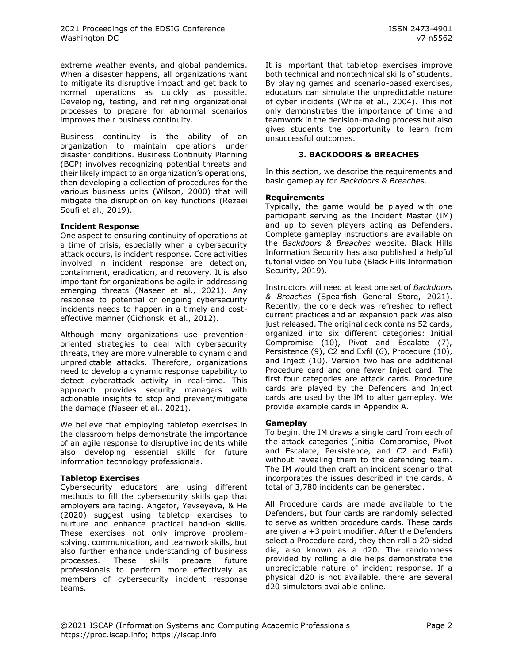extreme weather events, and global pandemics. When a disaster happens, all organizations want to mitigate its disruptive impact and get back to normal operations as quickly as possible. Developing, testing, and refining organizational processes to prepare for abnormal scenarios improves their business continuity.

Business continuity is the ability of an organization to maintain operations under disaster conditions. Business Continuity Planning (BCP) involves recognizing potential threats and their likely impact to an organization's operations, then developing a collection of procedures for the various business units (Wilson, 2000) that will mitigate the disruption on key functions (Rezaei Soufi et al., 2019).

#### **Incident Response**

One aspect to ensuring continuity of operations at a time of crisis, especially when a cybersecurity attack occurs, is incident response. Core activities involved in incident response are detection, containment, eradication, and recovery. It is also important for organizations be agile in addressing emerging threats (Naseer et al., 2021). Any response to potential or ongoing cybersecurity incidents needs to happen in a timely and costeffective manner (Cichonski et al., 2012).

Although many organizations use preventionoriented strategies to deal with cybersecurity threats, they are more vulnerable to dynamic and unpredictable attacks. Therefore, organizations need to develop a dynamic response capability to detect cyberattack activity in real-time. This approach provides security managers with actionable insights to stop and prevent/mitigate the damage (Naseer et al., 2021).

We believe that employing tabletop exercises in the classroom helps demonstrate the importance of an agile response to disruptive incidents while also developing essential skills for future information technology professionals.

#### **Tabletop Exercises**

Cybersecurity educators are using different methods to fill the cybersecurity skills gap that employers are facing. Angafor, Yevseyeva, & He (2020) suggest using tabletop exercises to nurture and enhance practical hand-on skills. These exercises not only improve problemsolving, communication, and teamwork skills, but also further enhance understanding of business processes. These skills prepare future professionals to perform more effectively as members of cybersecurity incident response teams.

It is important that tabletop exercises improve both technical and nontechnical skills of students. By playing games and scenario-based exercises, educators can simulate the unpredictable nature of cyber incidents (White et al., 2004). This not only demonstrates the importance of time and teamwork in the decision-making process but also gives students the opportunity to learn from unsuccessful outcomes.

#### **3. BACKDOORS & BREACHES**

In this section, we describe the requirements and basic gameplay for *Backdoors & Breaches*.

#### **Requirements**

Typically, the game would be played with one participant serving as the Incident Master (IM) and up to seven players acting as Defenders. Complete gameplay instructions are available on the *Backdoors & Breaches* website. Black Hills Information Security has also published a helpful tutorial video on YouTube (Black Hills Information Security, 2019).

Instructors will need at least one set of *Backdoors & Breaches* (Spearfish General Store, 2021). Recently, the core deck was refreshed to reflect current practices and an expansion pack was also just released. The original deck contains 52 cards, organized into six different categories: Initial Compromise (10), Pivot and Escalate (7), Persistence (9), C2 and Exfil (6), Procedure (10), and Inject (10). Version two has one additional Procedure card and one fewer Inject card. The first four categories are attack cards. Procedure cards are played by the Defenders and Inject cards are used by the IM to alter gameplay. We provide example cards in Appendix A.

#### **Gameplay**

To begin, the IM draws a single card from each of the attack categories (Initial Compromise, Pivot and Escalate, Persistence, and C2 and Exfil) without revealing them to the defending team. The IM would then craft an incident scenario that incorporates the issues described in the cards. A total of 3,780 incidents can be generated.

All Procedure cards are made available to the Defenders, but four cards are randomly selected to serve as written procedure cards. These cards are given a +3 point modifier. After the Defenders select a Procedure card, they then roll a 20-sided die, also known as a d20. The randomness provided by rolling a die helps demonstrate the unpredictable nature of incident response. If a physical d20 is not available, there are several d20 simulators available online.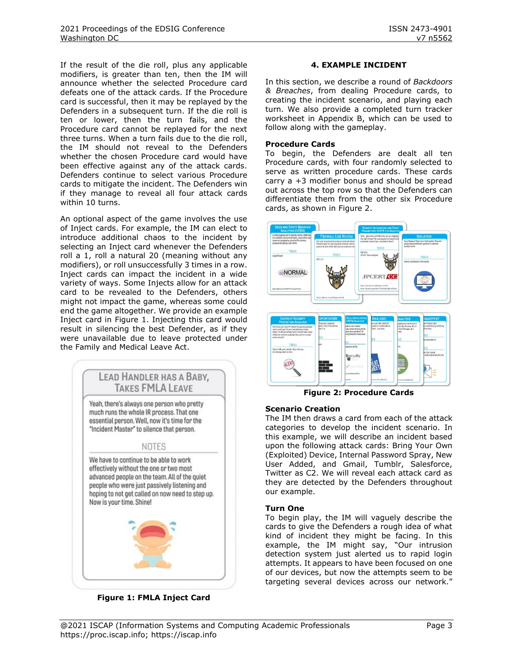If the result of the die roll, plus any applicable modifiers, is greater than ten, then the IM will announce whether the selected Procedure card defeats one of the attack cards. If the Procedure card is successful, then it may be replayed by the Defenders in a subsequent turn. If the die roll is ten or lower, then the turn fails, and the Procedure card cannot be replayed for the next three turns. When a turn fails due to the die roll, the IM should not reveal to the Defenders whether the chosen Procedure card would have been effective against any of the attack cards. Defenders continue to select various Procedure cards to mitigate the incident. The Defenders win if they manage to reveal all four attack cards within 10 turns.

An optional aspect of the game involves the use of Inject cards. For example, the IM can elect to introduce additional chaos to the incident by selecting an Inject card whenever the Defenders roll a 1, roll a natural 20 (meaning without any modifiers), or roll unsuccessfully 3 times in a row. Inject cards can impact the incident in a wide variety of ways. Some Injects allow for an attack card to be revealed to the Defenders, others might not impact the game, whereas some could end the game altogether. We provide an example Inject card in [Figure 1.](#page-2-0) Injecting this card would result in silencing the best Defender, as if they were unavailable due to leave protected under the Family and Medical Leave Act.



**Figure 1: FMLA Inject Card**

#### **4. EXAMPLE INCIDENT**

In this section, we describe a round of *Backdoors & Breaches*, from dealing Procedure cards, to creating the incident scenario, and playing each turn. We also provide a completed turn tracker worksheet in Appendix B, which can be used to follow along with the gameplay.

#### **Procedure Cards**

To begin, the Defenders are dealt all ten Procedure cards, with four randomly selected to serve as written procedure cards. These cards carry a +3 modifier bonus and should be spread out across the top row so that the Defenders can differentiate them from the other six Procedure cards, as shown in [Figure 2.](#page-2-1)



**Figure 2: Procedure Cards**

#### <span id="page-2-1"></span>**Scenario Creation**

The IM then draws a card from each of the attack categories to develop the incident scenario. In this example, we will describe an incident based upon the following attack cards: Bring Your Own (Exploited) Device, Internal Password Spray, New User Added, and Gmail, Tumblr, Salesforce, Twitter as C2. We will reveal each attack card as they are detected by the Defenders throughout our example.

#### **Turn One**

<span id="page-2-0"></span>To begin play, the IM will vaguely describe the cards to give the Defenders a rough idea of what kind of incident they might be facing. In this example, the IM might say, "Our intrusion detection system just alerted us to rapid login attempts. It appears to have been focused on one of our devices, but now the attempts seem to be targeting several devices across our network."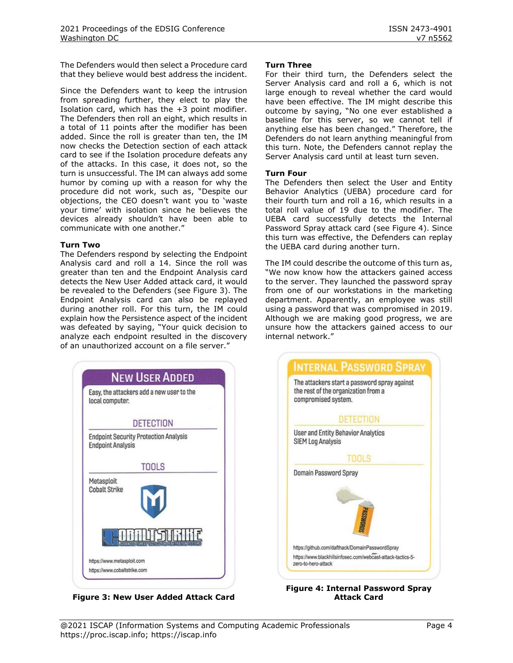The Defenders would then select a Procedure card that they believe would best address the incident.

Since the Defenders want to keep the intrusion from spreading further, they elect to play the Isolation card, which has the +3 point modifier. The Defenders then roll an eight, which results in a total of 11 points after the modifier has been added. Since the roll is greater than ten, the IM now checks the Detection section of each attack card to see if the Isolation procedure defeats any of the attacks. In this case, it does not, so the turn is unsuccessful. The IM can always add some humor by coming up with a reason for why the procedure did not work, such as, "Despite our objections, the CEO doesn't want you to 'waste your time' with isolation since he believes the devices already shouldn't have been able to communicate with one another."

#### **Turn Two**

The Defenders respond by selecting the Endpoint Analysis card and roll a 14. Since the roll was greater than ten and the Endpoint Analysis card detects the New User Added attack card, it would be revealed to the Defenders (see [Figure 3\)](#page-3-0). The Endpoint Analysis card can also be replayed during another roll. For this turn, the IM could explain how the Persistence aspect of the incident was defeated by saying, "Your quick decision to analyze each endpoint resulted in the discovery of an unauthorized account on a file server."



**Figure 3: New User Added Attack Card**

#### **Turn Three**

For their third turn, the Defenders select the Server Analysis card and roll a 6, which is not large enough to reveal whether the card would have been effective. The IM might describe this outcome by saying, "No one ever established a baseline for this server, so we cannot tell if anything else has been changed." Therefore, the Defenders do not learn anything meaningful from this turn. Note, the Defenders cannot replay the Server Analysis card until at least turn seven.

#### **Turn Four**

The Defenders then select the User and Entity Behavior Analytics (UEBA) procedure card for their fourth turn and roll a 16, which results in a total roll value of 19 due to the modifier. The UEBA card successfully detects the Internal Password Spray attack card (see [Figure 4\)](#page-3-1). Since this turn was effective, the Defenders can replay the UEBA card during another turn.

The IM could describe the outcome of this turn as, "We now know how the attackers gained access to the server. They launched the password spray from one of our workstations in the marketing department. Apparently, an employee was still using a password that was compromised in 2019. Although we are making good progress, we are unsure how the attackers gained access to our internal network."



#### <span id="page-3-1"></span><span id="page-3-0"></span>**Figure 4: Internal Password Spray Attack Card**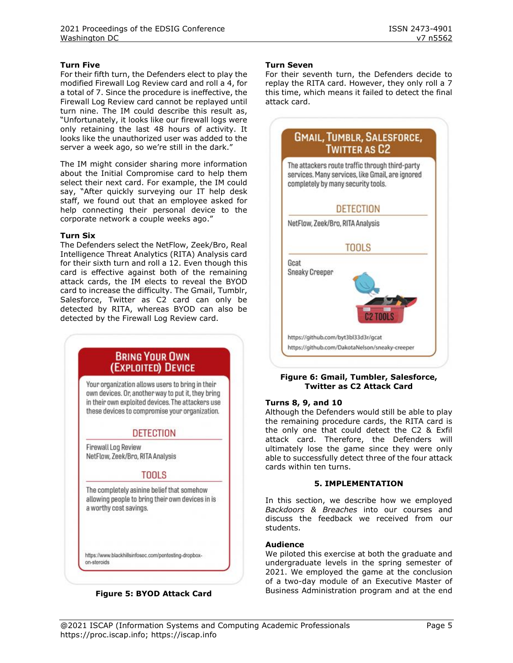#### **Turn Five**

For their fifth turn, the Defenders elect to play the modified Firewall Log Review card and roll a 4, for a total of 7. Since the procedure is ineffective, the Firewall Log Review card cannot be replayed until turn nine. The IM could describe this result as, "Unfortunately, it looks like our firewall logs were only retaining the last 48 hours of activity. It looks like the unauthorized user was added to the server a week ago, so we're still in the dark."

The IM might consider sharing more information about the Initial Compromise card to help them select their next card. For example, the IM could say, "After quickly surveying our IT help desk staff, we found out that an employee asked for help connecting their personal device to the corporate network a couple weeks ago."

#### **Turn Six**

The Defenders select the NetFlow, Zeek/Bro, Real Intelligence Threat Analytics (RITA) Analysis card for their sixth turn and roll a 12. Even though this card is effective against both of the remaining attack cards, the IM elects to reveal the BYOD card to increase the difficulty. The Gmail, Tumblr, Salesforce, Twitter as C2 card can only be detected by RITA, whereas BYOD can also be detected by the Firewall Log Review card.



#### **Figure 5: BYOD Attack Card**

#### **Turn Seven**

For their seventh turn, the Defenders decide to replay the RITA card. However, they only roll a 7 this time, which means it failed to detect the final attack card.



#### **Figure 6: Gmail, Tumbler, Salesforce, Twitter as C2 Attack Card**

#### **Turns 8, 9, and 10**

Although the Defenders would still be able to play the remaining procedure cards, the RITA card is the only one that could detect the C2 & Exfil attack card. Therefore, the Defenders will ultimately lose the game since they were only able to successfully detect three of the four attack cards within ten turns.

#### **5. IMPLEMENTATION**

In this section, we describe how we employed *Backdoors & Breaches* into our courses and discuss the feedback we received from our students.

#### **Audience**

We piloted this exercise at both the graduate and undergraduate levels in the spring semester of 2021. We employed the game at the conclusion of a two-day module of an Executive Master of Business Administration program and at the end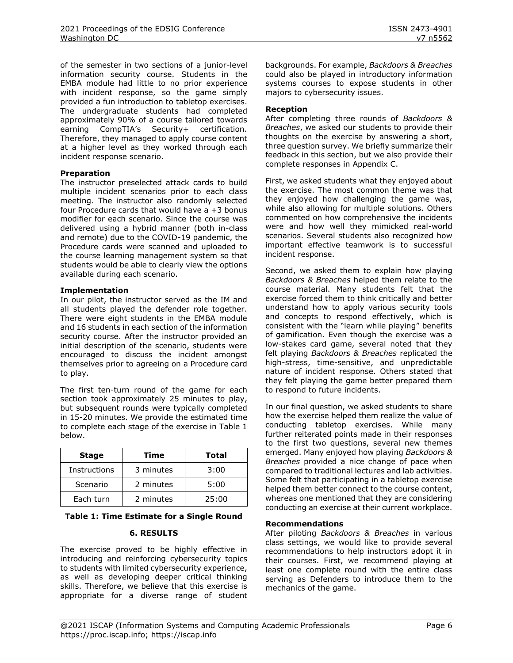of the semester in two sections of a junior-level information security course. Students in the EMBA module had little to no prior experience with incident response, so the game simply provided a fun introduction to tabletop exercises. The undergraduate students had completed approximately 90% of a course tailored towards earning CompTIA's Security+ certification. Therefore, they managed to apply course content at a higher level as they worked through each incident response scenario.

#### **Preparation**

The instructor preselected attack cards to build multiple incident scenarios prior to each class meeting. The instructor also randomly selected four Procedure cards that would have a +3 bonus modifier for each scenario. Since the course was delivered using a hybrid manner (both in-class and remote) due to the COVID-19 pandemic, the Procedure cards were scanned and uploaded to the course learning management system so that students would be able to clearly view the options available during each scenario.

#### **Implementation**

In our pilot, the instructor served as the IM and all students played the defender role together. There were eight students in the EMBA module and 16 students in each section of the information security course. After the instructor provided an initial description of the scenario, students were encouraged to discuss the incident amongst themselves prior to agreeing on a Procedure card to play.

The first ten-turn round of the game for each section took approximately 25 minutes to play, but subsequent rounds were typically completed in 15-20 minutes. We provide the estimated time to complete each stage of the exercise in Table 1 below.

| <b>Stage</b> | Time      | <b>Total</b> |
|--------------|-----------|--------------|
| Instructions | 3 minutes | 3:00         |
| Scenario     | 2 minutes | 5:00         |
| Each turn    | 2 minutes | 25:00        |

#### **Table 1: Time Estimate for a Single Round**

#### **6. RESULTS**

The exercise proved to be highly effective in introducing and reinforcing cybersecurity topics to students with limited cybersecurity experience, as well as developing deeper critical thinking skills. Therefore, we believe that this exercise is appropriate for a diverse range of student backgrounds. For example, *Backdoors & Breaches* could also be played in introductory information systems courses to expose students in other majors to cybersecurity issues.

#### **Reception**

After completing three rounds of *Backdoors & Breaches*, we asked our students to provide their thoughts on the exercise by answering a short, three question survey. We briefly summarize their feedback in this section, but we also provide their complete responses in Appendix C.

First, we asked students what they enjoyed about the exercise. The most common theme was that they enjoyed how challenging the game was, while also allowing for multiple solutions. Others commented on how comprehensive the incidents were and how well they mimicked real-world scenarios. Several students also recognized how important effective teamwork is to successful incident response.

Second, we asked them to explain how playing *Backdoors & Breaches* helped them relate to the course material. Many students felt that the exercise forced them to think critically and better understand how to apply various security tools and concepts to respond effectively, which is consistent with the "learn while playing" benefits of gamification. Even though the exercise was a low-stakes card game, several noted that they felt playing *Backdoors & Breaches* replicated the high-stress, time-sensitive, and unpredictable nature of incident response. Others stated that they felt playing the game better prepared them to respond to future incidents.

In our final question, we asked students to share how the exercise helped them realize the value of conducting tabletop exercises. While many further reiterated points made in their responses to the first two questions, several new themes emerged. Many enjoyed how playing *Backdoors & Breaches* provided a nice change of pace when compared to traditional lectures and lab activities. Some felt that participating in a tabletop exercise helped them better connect to the course content, whereas one mentioned that they are considering conducting an exercise at their current workplace.

#### **Recommendations**

After piloting *Backdoors & Breaches* in various class settings, we would like to provide several recommendations to help instructors adopt it in their courses. First, we recommend playing at least one complete round with the entire class serving as Defenders to introduce them to the mechanics of the game.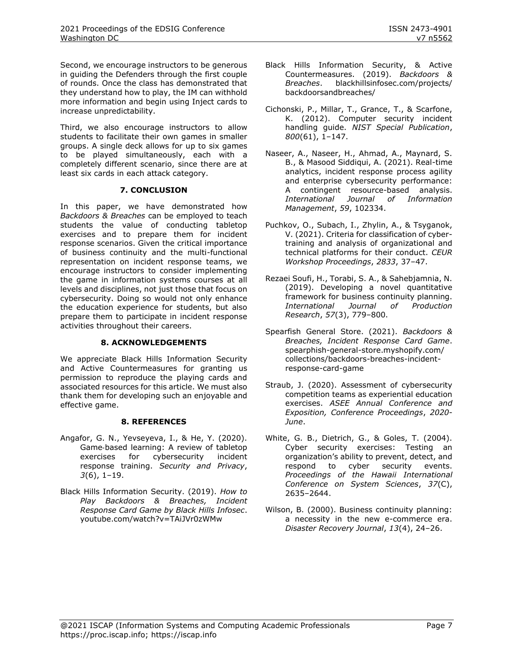Second, we encourage instructors to be generous in guiding the Defenders through the first couple of rounds. Once the class has demonstrated that they understand how to play, the IM can withhold more information and begin using Inject cards to increase unpredictability.

Third, we also encourage instructors to allow students to facilitate their own games in smaller groups. A single deck allows for up to six games to be played simultaneously, each with a completely different scenario, since there are at least six cards in each attack category.

#### **7. CONCLUSION**

In this paper, we have demonstrated how *Backdoors & Breaches* can be employed to teach students the value of conducting tabletop exercises and to prepare them for incident response scenarios. Given the critical importance of business continuity and the multi-functional representation on incident response teams, we encourage instructors to consider implementing the game in information systems courses at all levels and disciplines, not just those that focus on cybersecurity. Doing so would not only enhance the education experience for students, but also prepare them to participate in incident response activities throughout their careers.

#### **8. ACKNOWLEDGEMENTS**

We appreciate Black Hills Information Security and Active Countermeasures for granting us permission to reproduce the playing cards and associated resources for this article. We must also thank them for developing such an enjoyable and effective game.

#### **8. REFERENCES**

- Angafor, G. N., Yevseyeva, I., & He, Y. (2020). Game‐based learning: A review of tabletop exercises for cybersecurity incident response training. *Security and Privacy*, *3*(6), 1–19.
- Black Hills Information Security. (2019). *How to Play Backdoors & Breaches, Incident Response Card Game by Black Hills Infosec*. [youtube.com/watch?v=TAiJVr0zWMw](https://www.youtube.com/watch?v=TAiJVr0zWMw)
- Black Hills Information Security, & Active Countermeasures. (2019). *Backdoors & Breaches*. [blackhillsinfosec.com/projects/](https://www.blackhillsinfosec.com/projects/backdoorsandbreaches/) [backdoorsandbreaches/](https://www.blackhillsinfosec.com/projects/backdoorsandbreaches/)
- Cichonski, P., Millar, T., Grance, T., & Scarfone, K. (2012). Computer security incident handling guide. *NIST Special Publication*, *800*(61), 1–147.
- Naseer, A., Naseer, H., Ahmad, A., Maynard, S. B., & Masood Siddiqui, A. (2021). Real-time analytics, incident response process agility and enterprise cybersecurity performance: A contingent resource-based analysis. *International Journal of Information Management*, *59*, 102334.
- Puchkov, O., Subach, I., Zhylin, A., & Tsyganok, V. (2021). Criteria for classification of cybertraining and analysis of organizational and technical platforms for their conduct. *CEUR Workshop Proceedings*, *2833*, 37–47.
- Rezaei Soufi, H., Torabi, S. A., & Sahebjamnia, N. (2019). Developing a novel quantitative framework for business continuity planning. *International Journal of Production Research*, *57*(3), 779–800.
- Spearfish General Store. (2021). *Backdoors & Breaches, Incident Response Card Game*. [spearphish-general-store.myshopify.com/](https://www.blackhillsinfosec.com/projects/backdoorsandbreaches/) [collections/backdoors-breaches-incident](https://www.blackhillsinfosec.com/projects/backdoorsandbreaches/)[response-card-game](https://www.blackhillsinfosec.com/projects/backdoorsandbreaches/)
- Straub, J. (2020). Assessment of cybersecurity competition teams as experiential education exercises. *ASEE Annual Conference and Exposition, Conference Proceedings*, *2020*- *June*.
- White, G. B., Dietrich, G., & Goles, T. (2004). Cyber security exercises: Testing an organization's ability to prevent, detect, and respond to cyber security events. *Proceedings of the Hawaii International Conference on System Sciences*, *37*(C), 2635–2644.
- Wilson, B. (2000). Business continuity planning: a necessity in the new e-commerce era. *Disaster Recovery Journal*, *13*(4), 24–26.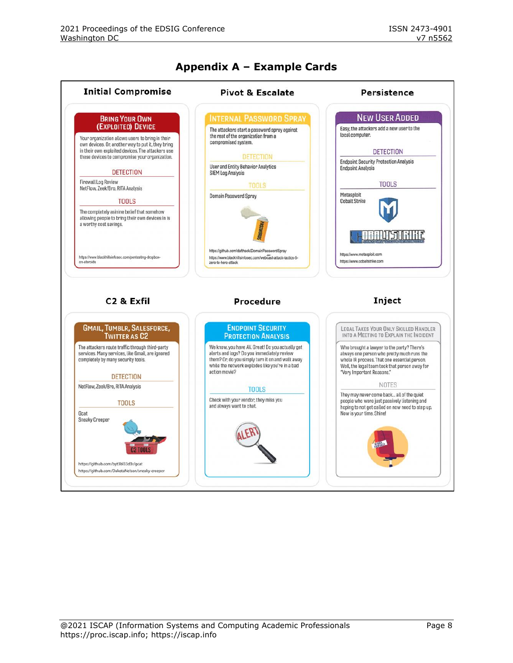

## **Appendix A – Example Cards**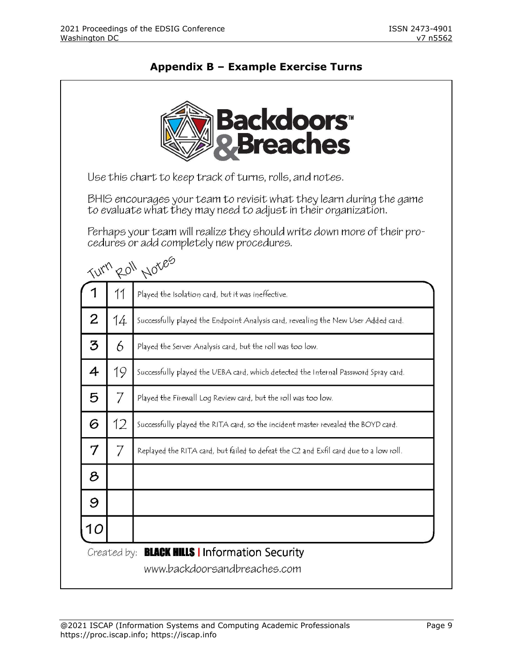## **Backdoors**" reaches Use this chart to keep track of turns, rolls, and notes. BHIS encourages your team to revisit what they learn during the game to evaluate what they may need to adjust in their organization. Perhaps your team will realize they should write down more of their procedures or add completely new procedures. Turn Roll Notes 1 11 Played the Isolation card, but it was ineffective.  $\overline{2}$ 14 Successfully played the Endpoint Analysis card, revealing the New User Added card. 3 6 Played the Server Analysis card, but the roll was too low. 4 19 Successfully played the UEBA card, which detected the Internal Password Spray card. 7 5 Played the Firewall Log Review card, but the roll was too low. 12 6 Successfully played the RITA card, so the incident master revealed the BOYD card.  $\overline{7}$ 7 Replayed the RITA card, but failed to defeat the C2 and Exfil card due to a low roll. 8 9 10 Created by: **BLACK HILLS | Information Security** www.backdoorsandbreaches.com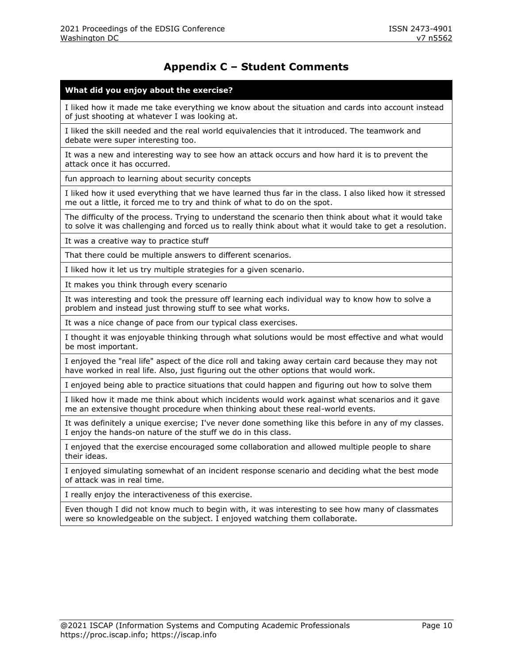## **Appendix C – Student Comments**

#### **What did you enjoy about the exercise?**

I liked how it made me take everything we know about the situation and cards into account instead of just shooting at whatever I was looking at.

I liked the skill needed and the real world equivalencies that it introduced. The teamwork and debate were super interesting too.

It was a new and interesting way to see how an attack occurs and how hard it is to prevent the attack once it has occurred.

fun approach to learning about security concepts

I liked how it used everything that we have learned thus far in the class. I also liked how it stressed me out a little, it forced me to try and think of what to do on the spot.

The difficulty of the process. Trying to understand the scenario then think about what it would take to solve it was challenging and forced us to really think about what it would take to get a resolution.

It was a creative way to practice stuff

That there could be multiple answers to different scenarios.

I liked how it let us try multiple strategies for a given scenario.

It makes you think through every scenario

It was interesting and took the pressure off learning each individual way to know how to solve a problem and instead just throwing stuff to see what works.

It was a nice change of pace from our typical class exercises.

I thought it was enjoyable thinking through what solutions would be most effective and what would be most important.

I enjoyed the "real life" aspect of the dice roll and taking away certain card because they may not have worked in real life. Also, just figuring out the other options that would work.

I enjoyed being able to practice situations that could happen and figuring out how to solve them

I liked how it made me think about which incidents would work against what scenarios and it gave me an extensive thought procedure when thinking about these real-world events.

It was definitely a unique exercise; I've never done something like this before in any of my classes. I enjoy the hands-on nature of the stuff we do in this class.

I enjoyed that the exercise encouraged some collaboration and allowed multiple people to share their ideas.

I enjoyed simulating somewhat of an incident response scenario and deciding what the best mode of attack was in real time.

I really enjoy the interactiveness of this exercise.

Even though I did not know much to begin with, it was interesting to see how many of classmates were so knowledgeable on the subject. I enjoyed watching them collaborate.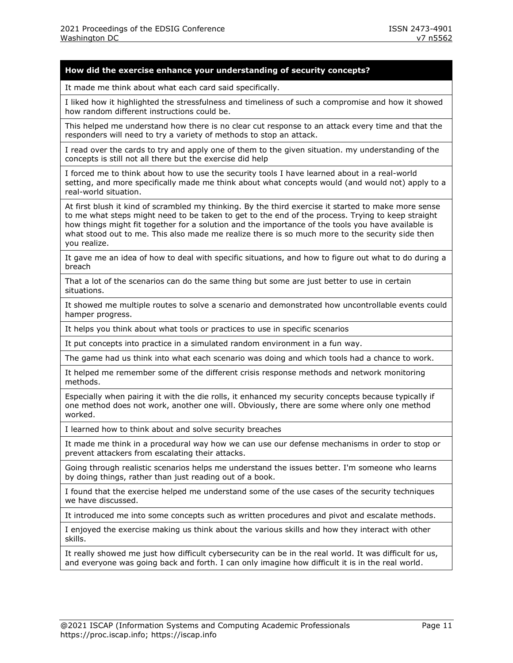#### **How did the exercise enhance your understanding of security concepts?**

It made me think about what each card said specifically.

I liked how it highlighted the stressfulness and timeliness of such a compromise and how it showed how random different instructions could be.

This helped me understand how there is no clear cut response to an attack every time and that the responders will need to try a variety of methods to stop an attack.

I read over the cards to try and apply one of them to the given situation. my understanding of the concepts is still not all there but the exercise did help

I forced me to think about how to use the security tools I have learned about in a real-world setting, and more specifically made me think about what concepts would (and would not) apply to a real-world situation.

At first blush it kind of scrambled my thinking. By the third exercise it started to make more sense to me what steps might need to be taken to get to the end of the process. Trying to keep straight how things might fit together for a solution and the importance of the tools you have available is what stood out to me. This also made me realize there is so much more to the security side then you realize.

It gave me an idea of how to deal with specific situations, and how to figure out what to do during a breach

That a lot of the scenarios can do the same thing but some are just better to use in certain situations.

It showed me multiple routes to solve a scenario and demonstrated how uncontrollable events could hamper progress.

It helps you think about what tools or practices to use in specific scenarios

It put concepts into practice in a simulated random environment in a fun way.

The game had us think into what each scenario was doing and which tools had a chance to work.

It helped me remember some of the different crisis response methods and network monitoring methods.

Especially when pairing it with the die rolls, it enhanced my security concepts because typically if one method does not work, another one will. Obviously, there are some where only one method worked.

I learned how to think about and solve security breaches

It made me think in a procedural way how we can use our defense mechanisms in order to stop or prevent attackers from escalating their attacks.

Going through realistic scenarios helps me understand the issues better. I'm someone who learns by doing things, rather than just reading out of a book.

I found that the exercise helped me understand some of the use cases of the security techniques we have discussed.

It introduced me into some concepts such as written procedures and pivot and escalate methods.

I enjoyed the exercise making us think about the various skills and how they interact with other skills.

It really showed me just how difficult cybersecurity can be in the real world. It was difficult for us, and everyone was going back and forth. I can only imagine how difficult it is in the real world.